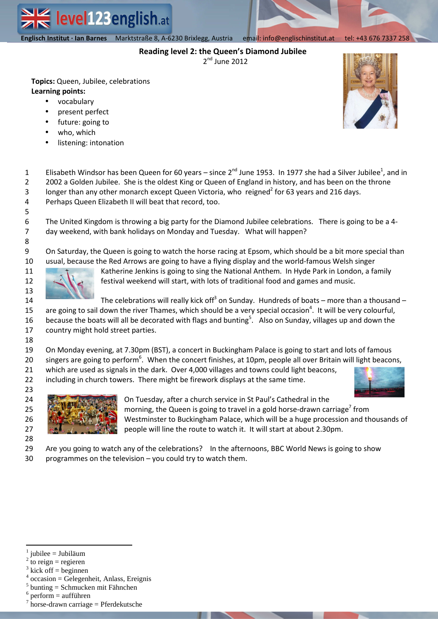**Englisch Institut · Ian Barnes** Marktstraße 8, A-6230 Brixlegg email| info@englischinstitut.at tel |+43 676 7337 258  **Englisch Institut · Ian Barnes** Marktstraße 8, A-6230 Brixlegg, Austria email: info@englischinstitut.at tel: +43 676 7337 258

level123english.at

# **Reading level 2: the Queen's Diamond Jubilee**

2<sup>nd</sup> June 2012

**Topics:** Queen, Jubilee, celebrations **Learning points:** 

- vocabulary
- present perfect
- future: going to
- who, which
- listening: intonation



1 2 3 4 Elisabeth Windsor has been Queen for 60 years – since 2<sup>nd</sup> June 1953. In 1977 she had a Silver Jubilee<sup>1</sup>, and in 2002 a Golden Jubilee. She is the oldest King or Queen of England in history, and has been on the throne longer than any other monarch except Queen Victoria, who reigned<sup>2</sup> for 63 years and 216 days.

Perhaps Queen Elizabeth II will beat that record, too.

The United Kingdom is throwing a big party for the Diamond Jubilee celebrations. There is going to be a 4 day weekend, with bank holidays on Monday and Tuesday. What will happen?

9 10 On Saturday, the Queen is going to watch the horse racing at Epsom, which should be a bit more special than usual, because the Red Arrows are going to have a flying display and the world-famous Welsh singer



Katherine Jenkins is going to sing the National Anthem. In Hyde Park in London, a family festival weekend will start, with lots of traditional food and games and music.

14 15 16 17 The celebrations will really kick off<sup>3</sup> on Sunday. Hundreds of boats – more than a thousand – are going to sail down the river Thames, which should be a very special occasion<sup>4</sup>. It will be very colourful, because the boats will all be decorated with flags and bunting<sup>5</sup>. Also on Sunday, villages up and down the country might hold street parties.

18

11 12 13

19 On Monday evening, at 7.30pm (BST), a concert in Buckingham Palace is going to start and lots of famous

20 singers are going to perform<sup>6</sup>. When the concert finishes, at 10pm, people all over Britain will light beacons,

21 which are used as signals in the dark. Over 4,000 villages and towns could light beacons,

22 23 including in church towers. There might be firework displays at the same time.





On Tuesday, after a church service in St Paul's Cathedral in the morning, the Queen is going to travel in a gold horse-drawn carriage<sup>7</sup> from Westminster to Buckingham Palace, which will be a huge procession and thousands of people will line the route to watch it. It will start at about 2.30pm.

29 Are you going to watch any of the celebrations? In the afternoons, BBC World News is going to show

30 programmes on the television – you could try to watch them.

 $\overline{a}$ 

<sup>1</sup> jubilee = Jubiläum

<sup>2</sup> to reign  $=$  regieren

<sup>3</sup> kick off = beginnen

<sup>4</sup> occasion = Gelegenheit, Anlass, Ereignis

<sup>&</sup>lt;sup>5</sup> bunting = Schmucken mit Fähnchen

perform = aufführen

 $\frac{7}{1}$  horse-drawn carriage = Pferdekutsche